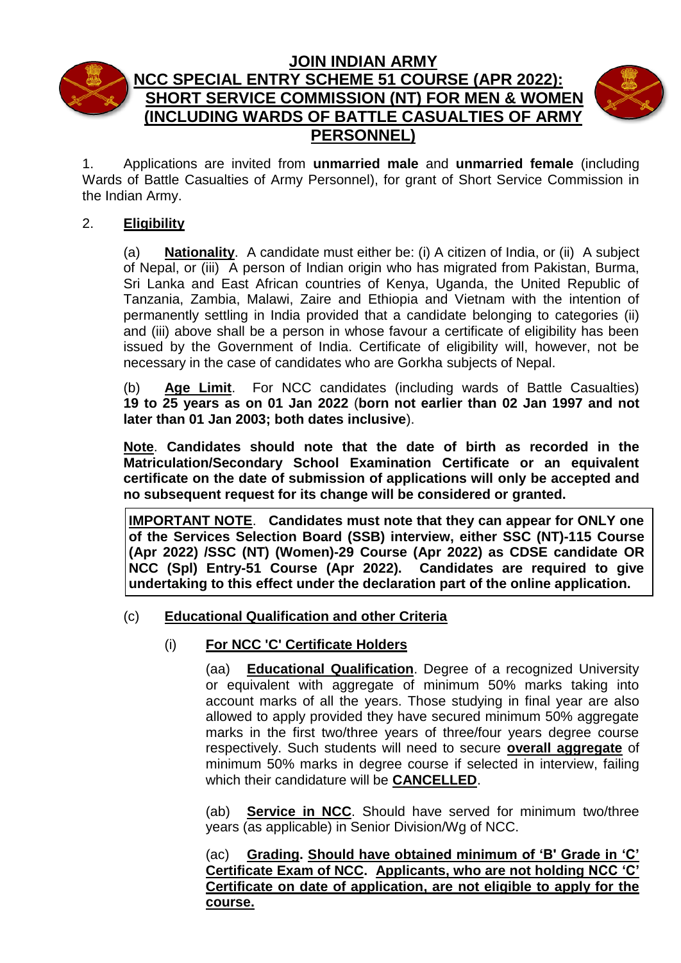

# **JOIN INDIAN ARMY NCC SPECIAL ENTRY SCHEME 51 COURSE (APR 2022): SHORT SERVICE COMMISSION (NT) FOR MEN & WOMEN (INCLUDING WARDS OF BATTLE CASUALTIES OF ARMY PERSONNEL)**



1. Applications are invited from **unmarried male** and **unmarried female** (including Wards of Battle Casualties of Army Personnel), for grant of Short Service Commission in the Indian Army.

## 2. **Eligibility**

(a) **Nationality**. A candidate must either be: (i) A citizen of India, or (ii) A subject of Nepal, or (iii) A person of Indian origin who has migrated from Pakistan, Burma, Sri Lanka and East African countries of Kenya, Uganda, the United Republic of Tanzania, Zambia, Malawi, Zaire and Ethiopia and Vietnam with the intention of permanently settling in India provided that a candidate belonging to categories (ii) and (iii) above shall be a person in whose favour a certificate of eligibility has been issued by the Government of India. Certificate of eligibility will, however, not be necessary in the case of candidates who are Gorkha subjects of Nepal.

(b) **Age Limit**.For NCC candidates (including wards of Battle Casualties) **19 to 25 years as on 01 Jan 2022** (**born not earlier than 02 Jan 1997 and not later than 01 Jan 2003; both dates inclusive**).

**Note**. **Candidates should note that the date of birth as recorded in the Matriculation/Secondary School Examination Certificate or an equivalent certificate on the date of submission of applications will only be accepted and no subsequent request for its change will be considered or granted.**

**IMPORTANT NOTE**. **Candidates must note that they can appear for ONLY one of the Services Selection Board (SSB) interview, either SSC (NT)-115 Course (Apr 2022) /SSC (NT) (Women)-29 Course (Apr 2022) as CDSE candidate OR NCC (Spl) Entry-51 Course (Apr 2022). Candidates are required to give undertaking to this effect under the declaration part of the online application.**

## (c) **Educational Qualification and other Criteria**

## (i) **For NCC 'C' Certificate Holders**

(aa) **Educational Qualification**. Degree of a recognized University or equivalent with aggregate of minimum 50% marks taking into account marks of all the years. Those studying in final year are also allowed to apply provided they have secured minimum 50% aggregate marks in the first two/three years of three/four years degree course respectively. Such students will need to secure **overall aggregate** of minimum 50% marks in degree course if selected in interview, failing which their candidature will be **CANCELLED**.

(ab) **Service in NCC**. Should have served for minimum two/three years (as applicable) in Senior Division/Wg of NCC.

(ac) **Grading. Should have obtained minimum of 'B' Grade in 'C' Certificate Exam of NCC. Applicants, who are not holding NCC 'C' Certificate on date of application, are not eligible to apply for the course.**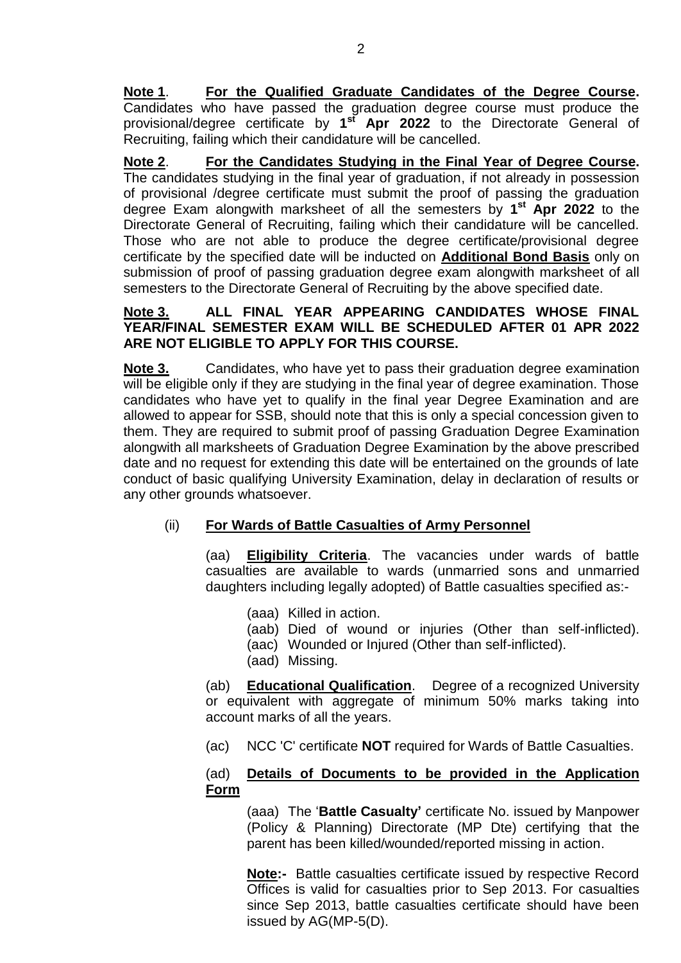**Note 1**. **For the Qualified Graduate Candidates of the Degree Course.** Candidates who have passed the graduation degree course must produce the provisional/degree certificate by **1 st Apr 2022** to the Directorate General of Recruiting, failing which their candidature will be cancelled.

**Note 2**. **For the Candidates Studying in the Final Year of Degree Course.** The candidates studying in the final year of graduation, if not already in possession of provisional /degree certificate must submit the proof of passing the graduation degree Exam alongwith marksheet of all the semesters by **1 st Apr 2022** to the Directorate General of Recruiting, failing which their candidature will be cancelled. Those who are not able to produce the degree certificate/provisional degree certificate by the specified date will be inducted on **Additional Bond Basis** only on submission of proof of passing graduation degree exam alongwith marksheet of all semesters to the Directorate General of Recruiting by the above specified date.

### **Note 3. ALL FINAL YEAR APPEARING CANDIDATES WHOSE FINAL YEAR/FINAL SEMESTER EXAM WILL BE SCHEDULED AFTER 01 APR 2022 ARE NOT ELIGIBLE TO APPLY FOR THIS COURSE.**

**Note 3.** Candidates, who have yet to pass their graduation degree examination will be eligible only if they are studying in the final year of degree examination. Those candidates who have yet to qualify in the final year Degree Examination and are allowed to appear for SSB, should note that this is only a special concession given to them. They are required to submit proof of passing Graduation Degree Examination alongwith all marksheets of Graduation Degree Examination by the above prescribed date and no request for extending this date will be entertained on the grounds of late conduct of basic qualifying University Examination, delay in declaration of results or any other grounds whatsoever.

## (ii) **For Wards of Battle Casualties of Army Personnel**

(aa) **Eligibility Criteria**. The vacancies under wards of battle casualties are available to wards (unmarried sons and unmarried daughters including legally adopted) of Battle casualties specified as:-

- (aaa) Killed in action.
- (aab) Died of wound or injuries (Other than self-inflicted).
- (aac) Wounded or Injured (Other than self-inflicted).
- (aad) Missing.

(ab) **Educational Qualification**. Degree of a recognized University or equivalent with aggregate of minimum 50% marks taking into account marks of all the years.

(ac) NCC 'C' certificate **NOT** required for Wards of Battle Casualties.

### (ad) **Details of Documents to be provided in the Application Form**

(aaa) The '**Battle Casualty'** certificate No. issued by Manpower (Policy & Planning) Directorate (MP Dte) certifying that the parent has been killed/wounded/reported missing in action.

**Note:-** Battle casualties certificate issued by respective Record Offices is valid for casualties prior to Sep 2013. For casualties since Sep 2013, battle casualties certificate should have been issued by AG(MP-5(D).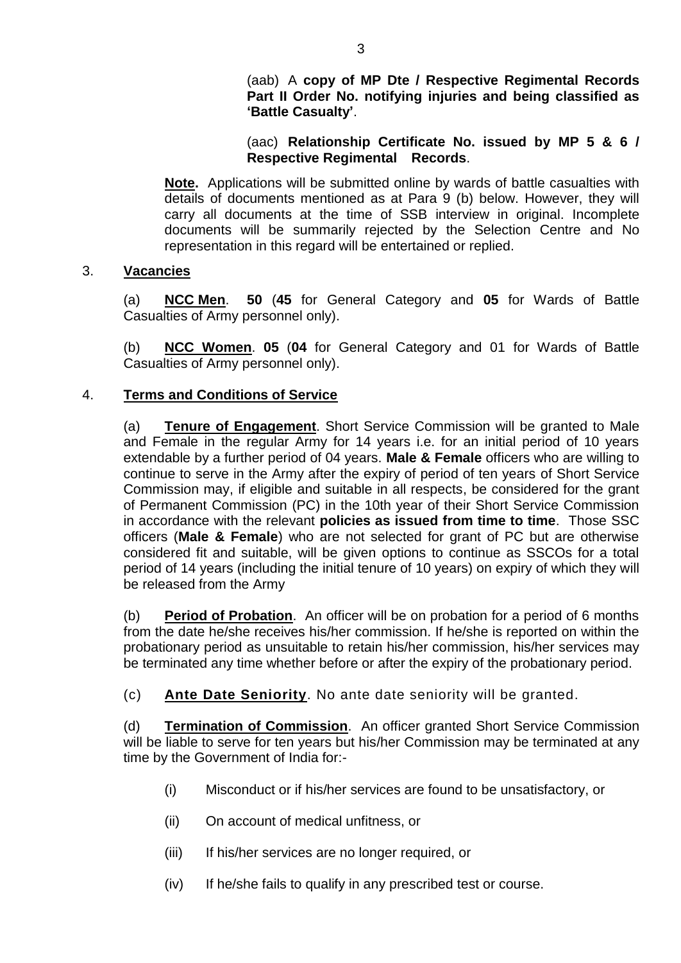### (aac) **Relationship Certificate No. issued by MP 5 & 6 / Respective Regimental Records**.

**Note.** Applications will be submitted online by wards of battle casualties with details of documents mentioned as at Para 9 (b) below. However, they will carry all documents at the time of SSB interview in original. Incomplete documents will be summarily rejected by the Selection Centre and No representation in this regard will be entertained or replied.

### 3. **Vacancies**

(a) **NCC Men**. **50** (**45** for General Category and **05** for Wards of Battle Casualties of Army personnel only).

(b) **NCC Women**. **05** (**04** for General Category and 01 for Wards of Battle Casualties of Army personnel only).

### 4. **Terms and Conditions of Service**

(a) **Tenure of Engagement**. Short Service Commission will be granted to Male and Female in the regular Army for 14 years i.e. for an initial period of 10 years extendable by a further period of 04 years. **Male & Female** officers who are willing to continue to serve in the Army after the expiry of period of ten years of Short Service Commission may, if eligible and suitable in all respects, be considered for the grant of Permanent Commission (PC) in the 10th year of their Short Service Commission in accordance with the relevant **policies as issued from time to time**. Those SSC officers (**Male & Female**) who are not selected for grant of PC but are otherwise considered fit and suitable, will be given options to continue as SSCOs for a total period of 14 years (including the initial tenure of 10 years) on expiry of which they will be released from the Army

(b) **Period of Probation**.An officer will be on probation for a period of 6 months from the date he/she receives his/her commission. If he/she is reported on within the probationary period as unsuitable to retain his/her commission, his/her services may be terminated any time whether before or after the expiry of the probationary period.

(c) **Ante Date Seniority**. No ante date seniority will be granted.

(d) **Termination of Commission**.An officer granted Short Service Commission will be liable to serve for ten years but his/her Commission may be terminated at any time by the Government of India for:-

- (i) Misconduct or if his/her services are found to be unsatisfactory, or
- (ii) On account of medical unfitness, or
- (iii) If his/her services are no longer required, or
- (iv) If he/she fails to qualify in any prescribed test or course.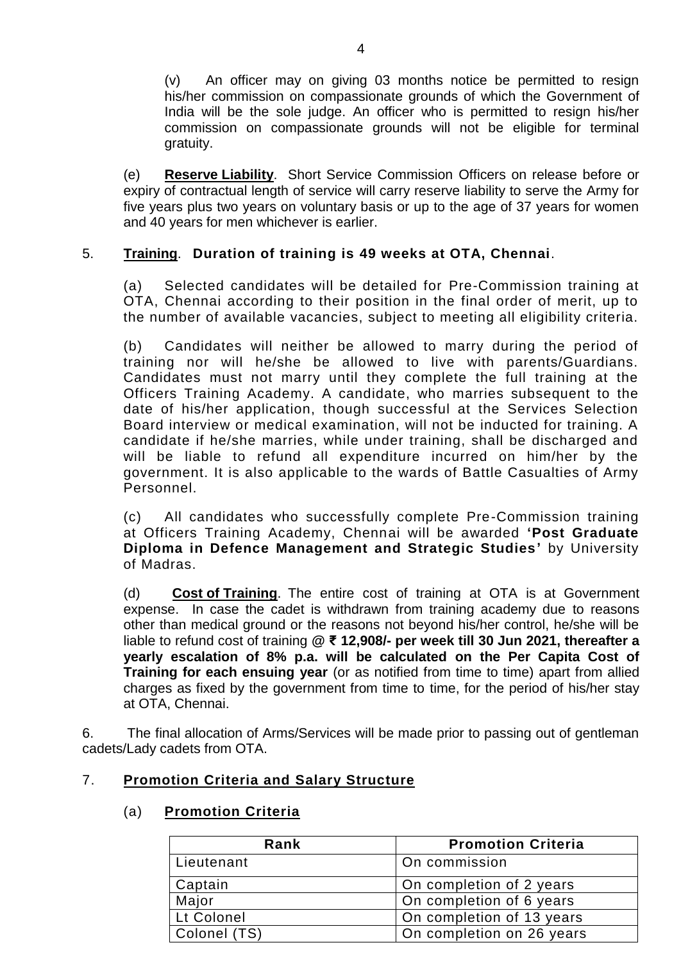(v) An officer may on giving 03 months notice be permitted to resign his/her commission on compassionate grounds of which the Government of India will be the sole judge. An officer who is permitted to resign his/her commission on compassionate grounds will not be eligible for terminal gratuity.

(e) **Reserve Liability**.Short Service Commission Officers on release before or expiry of contractual length of service will carry reserve liability to serve the Army for five years plus two years on voluntary basis or up to the age of 37 years for women and 40 years for men whichever is earlier.

## 5. **Training**. **Duration of training is 49 weeks at OTA, Chennai**.

(a) Selected candidates will be detailed for Pre-Commission training at OTA, Chennai according to their position in the final order of merit, up to the number of available vacancies, subject to meeting all eligibility criteria.

(b) Candidates will neither be allowed to marry during the period of training nor will he/she be allowed to live with parents/Guardians. Candidates must not marry until they complete the full training at the Officers Training Academy. A candidate, who marries subsequent to the date of his/her application, though successful at the Services Selection Board interview or medical examination, will not be inducted for training. A candidate if he/she marries, while under training, shall be discharged and will be liable to refund all expenditure incurred on him/her by the government. It is also applicable to the wards of Battle Casualties of Army Personnel.

(c) All candidates who successfully complete Pre-Commission training at Officers Training Academy, Chennai will be awarded **'Post Graduate Diploma in Defence Management and Strategic Studies'** by University of Madras.

(d) **Cost of Training**. The entire cost of training at OTA is at Government expense. In case the cadet is withdrawn from training academy due to reasons other than medical ground or the reasons not beyond his/her control, he/she will be liable to refund cost of training **@ ₹ 12,908/- per week till 30 Jun 2021, thereafter a yearly escalation of 8% p.a. will be calculated on the Per Capita Cost of Training for each ensuing year** (or as notified from time to time) apart from allied charges as fixed by the government from time to time, for the period of his/her stay at OTA, Chennai.

6. The final allocation of Arms/Services will be made prior to passing out of gentleman cadets/Lady cadets from OTA.

## 7. **Promotion Criteria and Salary Structure**

## (a) **Promotion Criteria**

| Rank         | <b>Promotion Criteria</b> |
|--------------|---------------------------|
| Lieutenant   | On commission             |
| Captain      | On completion of 2 years  |
| Major        | On completion of 6 years  |
| Lt Colonel   | On completion of 13 years |
| Colonel (TS) | On completion on 26 years |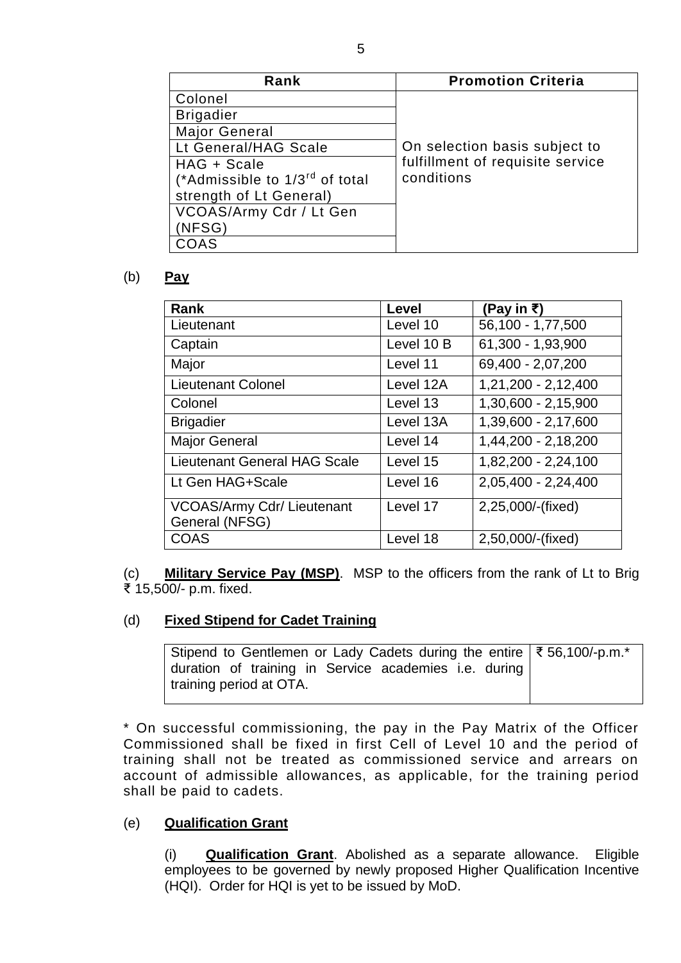| Rank                                       | <b>Promotion Criteria</b>        |
|--------------------------------------------|----------------------------------|
| Colonel                                    |                                  |
| <b>Brigadier</b>                           |                                  |
| <b>Major General</b>                       |                                  |
| Lt General/HAG Scale                       | On selection basis subject to    |
| HAG + Scale                                | fulfillment of requisite service |
| (*Admissible to 1/3 <sup>rd</sup> of total | conditions                       |
| strength of Lt General)                    |                                  |
| VCOAS/Army Cdr / Lt Gen                    |                                  |
| (NFSG)                                     |                                  |
| COAS                                       |                                  |

#### (b) **Pay**

| <b>Rank</b>                                         | Level      | (Pay in ₹)          |
|-----------------------------------------------------|------------|---------------------|
| Lieutenant                                          | Level 10   | 56,100 - 1,77,500   |
| Captain                                             | Level 10 B | 61,300 - 1,93,900   |
| Major                                               | Level 11   | 69,400 - 2,07,200   |
| <b>Lieutenant Colonel</b>                           | Level 12A  | 1,21,200 - 2,12,400 |
| Colonel                                             | Level 13   | 1,30,600 - 2,15,900 |
| <b>Brigadier</b>                                    | Level 13A  | 1,39,600 - 2,17,600 |
| <b>Major General</b>                                | Level 14   | 1,44,200 - 2,18,200 |
| <b>Lieutenant General HAG Scale</b>                 | Level 15   | 1,82,200 - 2,24,100 |
| Lt Gen HAG+Scale                                    | Level 16   | 2,05,400 - 2,24,400 |
| <b>VCOAS/Army Cdr/ Lieutenant</b><br>General (NFSG) | Level 17   | 2,25,000/-(fixed)   |
| <b>COAS</b>                                         | Level 18   | 2,50,000/-(fixed)   |

(c) **Military Service Pay (MSP)**. MSP to the officers from the rank of Lt to Brig ₹ 15,500/- p.m. fixed.

### (d) **Fixed Stipend for Cadet Training**

| Stipend to Gentlemen or Lady Cadets during the entire   ₹56,100/-p.m.* |  |  |  |  |
|------------------------------------------------------------------------|--|--|--|--|
| duration of training in Service academies i.e. during                  |  |  |  |  |
| training period at OTA.                                                |  |  |  |  |

\* On successful commissioning, the pay in the Pay Matrix of the Officer Commissioned shall be fixed in first Cell of Level 10 and the period of training shall not be treated as commissioned service and arrears on account of admissible allowances, as applicable, for the training period shall be paid to cadets.

### (e) **Qualification Grant**

(i) **Qualification Grant**. Abolished as a separate allowance. Eligible employees to be governed by newly proposed Higher Qualification Incentive (HQI). Order for HQI is yet to be issued by MoD.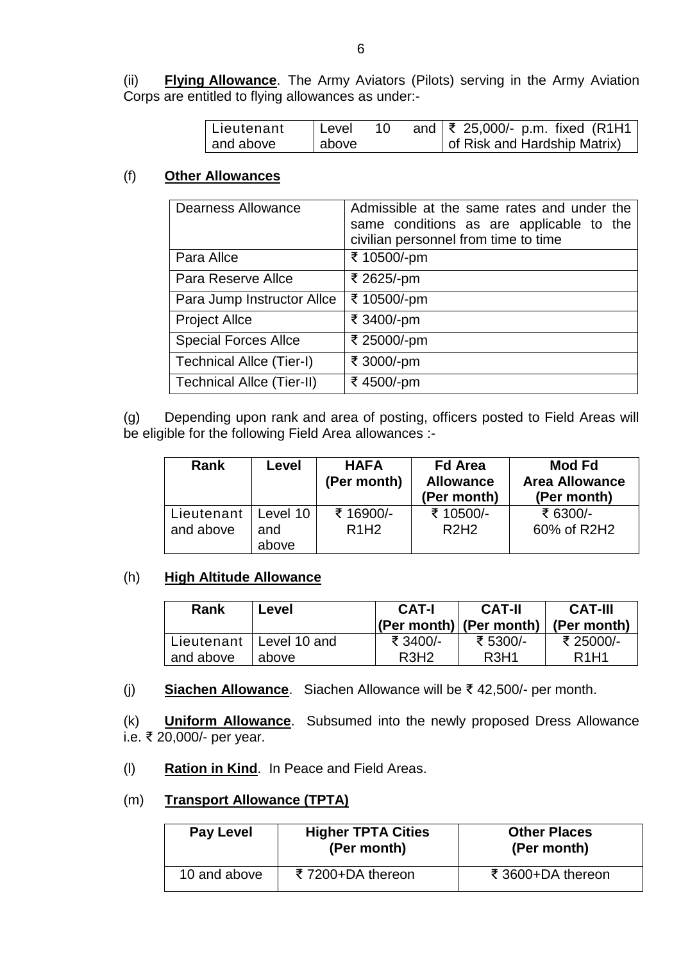(ii) **Flying Allowance**. The Army Aviators (Pilots) serving in the Army Aviation Corps are entitled to flying allowances as under:-

| l Lieutenant | l Level |  | and $\sqrt{\xi}$ 25,000/- p.m. fixed (R1H1 |
|--------------|---------|--|--------------------------------------------|
| and above    | above   |  | of Risk and Hardship Matrix)               |

#### (f) **Other Allowances**

| <b>Dearness Allowance</b>        | Admissible at the same rates and under the<br>same conditions as are applicable to the<br>civilian personnel from time to time |
|----------------------------------|--------------------------------------------------------------------------------------------------------------------------------|
| Para Allce                       | ₹ 10500/-pm                                                                                                                    |
| Para Reserve Allce               | ₹ 2625/-pm                                                                                                                     |
| Para Jump Instructor Allce       | ₹ 10500/-pm                                                                                                                    |
| <b>Project Allce</b>             | ₹ 3400/-pm                                                                                                                     |
| <b>Special Forces Allce</b>      | ₹ 25000/-pm                                                                                                                    |
| <b>Technical Allce (Tier-I)</b>  | ₹ 3000/-pm                                                                                                                     |
| <b>Technical Allce (Tier-II)</b> | ₹4500/-pm                                                                                                                      |

(g) Depending upon rank and area of posting, officers posted to Field Areas will be eligible for the following Field Area allowances :-

| <b>Rank</b>               | Level                    | <b>HAFA</b><br>(Per month)                 | <b>Fd Area</b><br><b>Allowance</b><br>(Per month) | Mod Fd<br><b>Area Allowance</b><br>(Per month) |
|---------------------------|--------------------------|--------------------------------------------|---------------------------------------------------|------------------------------------------------|
| Lieutenant  <br>and above | Level 10<br>and<br>above | ₹ 16900/-<br>R <sub>1</sub> H <sub>2</sub> | ₹ 10500/-<br>R2H2                                 | ₹ 6300/-<br>60% of R2H2                        |

#### (h) **High Altitude Allowance**

| Rank      | Level                     | CAT-I                         | <b>CAT-II</b><br>$ (Per month) $ (Per month) | <b>CAT-III</b><br>(Per month) |
|-----------|---------------------------|-------------------------------|----------------------------------------------|-------------------------------|
|           | Lieutenant   Level 10 and | ₹ 3400/-                      | ₹ 5300/-                                     | ₹ 25000/-                     |
| and above | above                     | R <sub>3</sub> H <sub>2</sub> | R <sub>3</sub> H <sub>1</sub>                | R <sub>1</sub> H <sub>1</sub> |

(j) **Siachen Allowance**. Siachen Allowance will be ₹ 42,500/- per month.

(k) **Uniform Allowance**. Subsumed into the newly proposed Dress Allowance i.e. ₹ 20,000/- per year.

- (l) **Ration in Kind**. In Peace and Field Areas.
- (m) **Transport Allowance (TPTA)**

| <b>Pay Level</b> | <b>Higher TPTA Cities</b><br>(Per month) | <b>Other Places</b><br>(Per month) |
|------------------|------------------------------------------|------------------------------------|
| 10 and above     | ₹7200+DA thereon                         | ₹ 3600+DA thereon                  |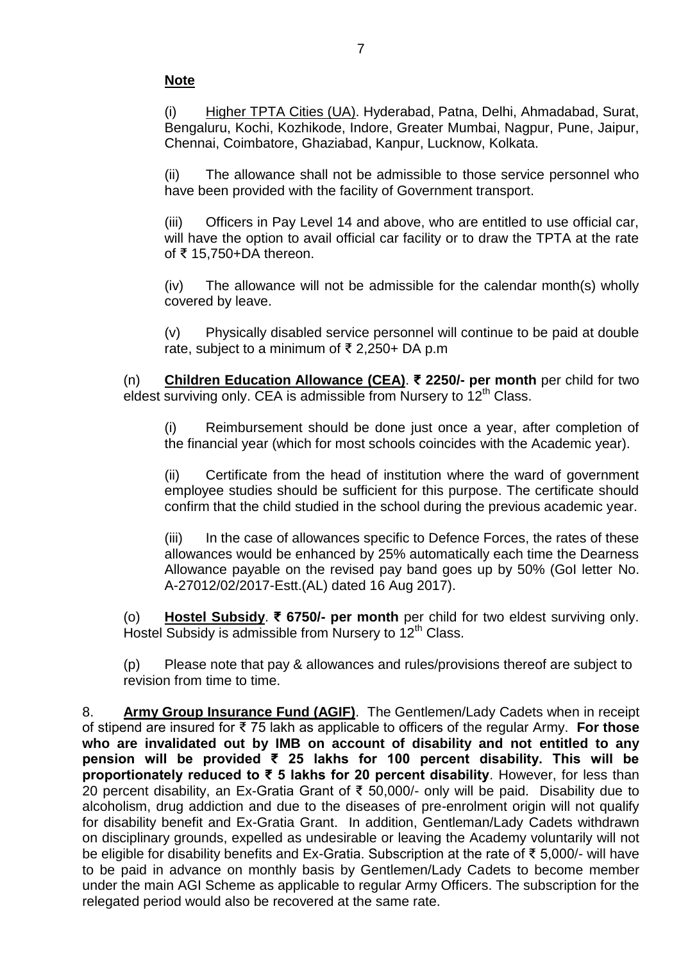## **Note**

(i) Higher TPTA Cities (UA). Hyderabad, Patna, Delhi, Ahmadabad, Surat, Bengaluru, Kochi, Kozhikode, Indore, Greater Mumbai, Nagpur, Pune, Jaipur, Chennai, Coimbatore, Ghaziabad, Kanpur, Lucknow, Kolkata.

(ii) The allowance shall not be admissible to those service personnel who have been provided with the facility of Government transport.

(iii) Officers in Pay Level 14 and above, who are entitled to use official car, will have the option to avail official car facility or to draw the TPTA at the rate of ₹ 15,750+DA thereon.

(iv) The allowance will not be admissible for the calendar month(s) wholly covered by leave.

(v) Physically disabled service personnel will continue to be paid at double rate, subject to a minimum of ₹ 2,250+ DA p.m

(n) **Children Education Allowance (CEA)**. **₹ 2250/- per month** per child for two eldest surviving only. CEA is admissible from Nursery to 12<sup>th</sup> Class.

(i) Reimbursement should be done just once a year, after completion of the financial year (which for most schools coincides with the Academic year).

(ii) Certificate from the head of institution where the ward of government employee studies should be sufficient for this purpose. The certificate should confirm that the child studied in the school during the previous academic year.

(iii) In the case of allowances specific to Defence Forces, the rates of these allowances would be enhanced by 25% automatically each time the Dearness Allowance payable on the revised pay band goes up by 50% (GoI letter No. A-27012/02/2017-Estt.(AL) dated 16 Aug 2017).

(o) **Hostel Subsidy**. **₹ 6750/- per month** per child for two eldest surviving only. Hostel Subsidy is admissible from Nursery to  $12<sup>th</sup>$  Class.

(p) Please note that pay & allowances and rules/provisions thereof are subject to revision from time to time.

8. **Army Group Insurance Fund (AGIF)**. The Gentlemen/Lady Cadets when in receipt of stipend are insured for ₹ 75 lakh as applicable to officers of the regular Army. **For those who are invalidated out by IMB on account of disability and not entitled to any pension will be provided ₹ 25 lakhs for 100 percent disability. This will be proportionately reduced to ₹ 5 lakhs for 20 percent disability**. However, for less than 20 percent disability, an Ex-Gratia Grant of ₹ 50,000/- only will be paid. Disability due to alcoholism, drug addiction and due to the diseases of pre-enrolment origin will not qualify for disability benefit and Ex-Gratia Grant. In addition, Gentleman/Lady Cadets withdrawn on disciplinary grounds, expelled as undesirable or leaving the Academy voluntarily will not be eligible for disability benefits and Ex-Gratia. Subscription at the rate of ₹ 5,000/- will have to be paid in advance on monthly basis by Gentlemen/Lady Cadets to become member under the main AGI Scheme as applicable to regular Army Officers. The subscription for the relegated period would also be recovered at the same rate.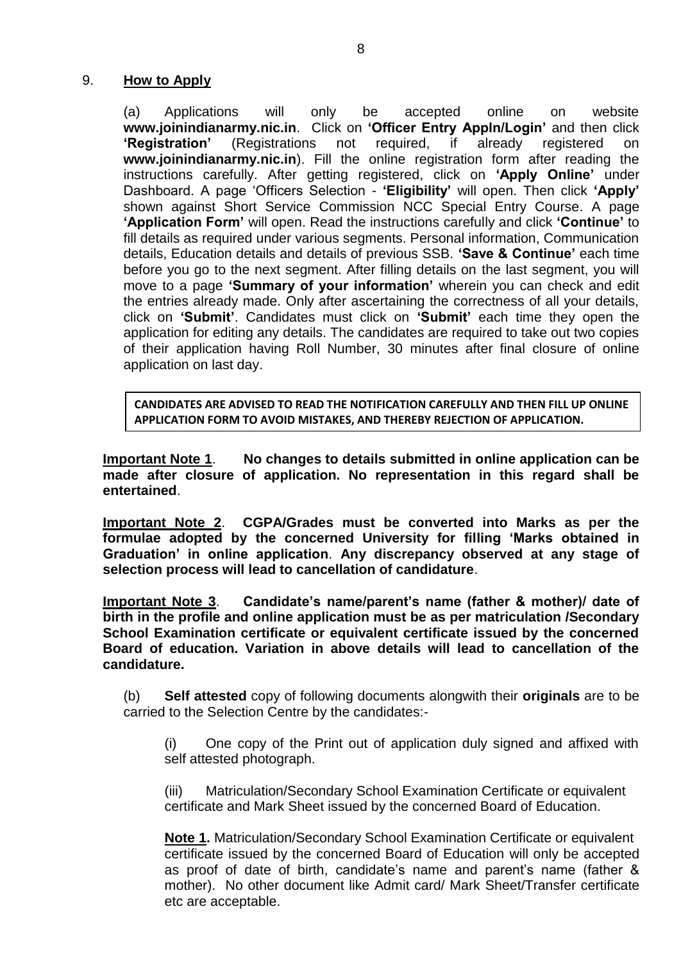#### 9. **How to Apply**

(a) Applications will only be accepted online on website **www.joinindianarmy.nic.in**. Click on **'Officer Entry Appln/Login'** and then click **'Registration'** (Registrations not required, if already registered on **[www.joinindianarmy.nic.in](http://www.joinindianarmy.nic.in/)**). Fill the online registration form after reading the instructions carefully. After getting registered, click on **'Apply Online'** under Dashboard. A page 'Officers Selection - **'Eligibility'** will open. Then click **'Apply'** shown against Short Service Commission NCC Special Entry Course. A page **'Application Form'** will open. Read the instructions carefully and click **'Continue'** to fill details as required under various segments. Personal information, Communication details, Education details and details of previous SSB. **'Save & Continue'** each time before you go to the next segment. After filling details on the last segment, you will move to a page **'Summary of your information'** wherein you can check and edit the entries already made. Only after ascertaining the correctness of all your details, click on **'Submit'**. Candidates must click on **'Submit'** each time they open the application for editing any details. The candidates are required to take out two copies of their application having Roll Number, 30 minutes after final closure of online application on last day.

**CANDIDATES ARE ADVISED TO READ THE NOTIFICATION CAREFULLY AND THEN FILL UP ONLINE APPLICATION FORM TO AVOID MISTAKES, AND THEREBY REJECTION OF APPLICATION.**

**Important Note 1**. **No changes to details submitted in online application can be made after closure of application. No representation in this regard shall be entertained**.

**Important Note 2**. **CGPA/Grades must be converted into Marks as per the formulae adopted by the concerned University for filling 'Marks obtained in Graduation' in online application**. **Any discrepancy observed at any stage of selection process will lead to cancellation of candidature**.

**Important Note 3**. **Candidate's name/parent's name (father & mother)/ date of birth in the profile and online application must be as per matriculation /Secondary School Examination certificate or equivalent certificate issued by the concerned Board of education. Variation in above details will lead to cancellation of the candidature.**

(b) **Self attested** copy of following documents alongwith their **originals** are to be carried to the Selection Centre by the candidates:-

(i) One copy of the Print out of application duly signed and affixed with self attested photograph.

(iii) Matriculation/Secondary School Examination Certificate or equivalent certificate and Mark Sheet issued by the concerned Board of Education.

**Note 1.** Matriculation/Secondary School Examination Certificate or equivalent certificate issued by the concerned Board of Education will only be accepted as proof of date of birth, candidate's name and parent's name (father & mother). No other document like Admit card/ Mark Sheet/Transfer certificate etc are acceptable.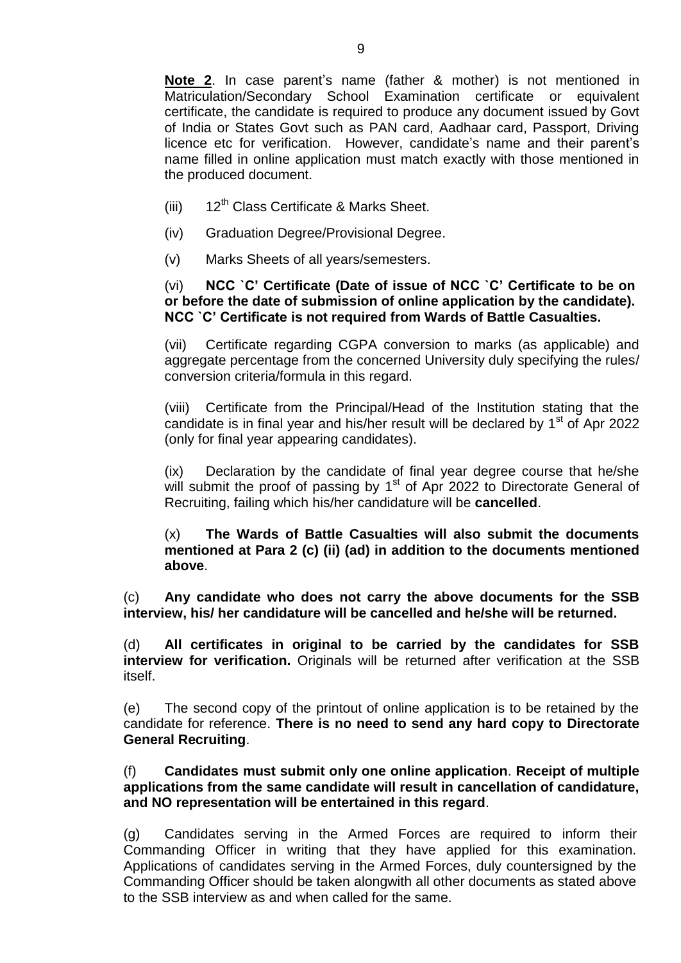**Note 2**. In case parent's name (father & mother) is not mentioned in Matriculation/Secondary School Examination certificate or equivalent certificate, the candidate is required to produce any document issued by Govt of India or States Govt such as PAN card, Aadhaar card, Passport, Driving licence etc for verification. However, candidate's name and their parent's name filled in online application must match exactly with those mentioned in the produced document.

- (iii)  $12^{th}$  Class Certificate & Marks Sheet.
- (iv) Graduation Degree/Provisional Degree.
- (v) Marks Sheets of all years/semesters.

### (vi) **NCC `C' Certificate (Date of issue of NCC `C' Certificate to be on or before the date of submission of online application by the candidate). NCC `C' Certificate is not required from Wards of Battle Casualties.**

(vii) Certificate regarding CGPA conversion to marks (as applicable) and aggregate percentage from the concerned University duly specifying the rules/ conversion criteria/formula in this regard.

(viii) Certificate from the Principal/Head of the Institution stating that the candidate is in final year and his/her result will be declared by  $1<sup>st</sup>$  of Apr 2022 (only for final year appearing candidates).

(ix) Declaration by the candidate of final year degree course that he/she will submit the proof of passing by  $1<sup>st</sup>$  of Apr 2022 to Directorate General of Recruiting, failing which his/her candidature will be **cancelled**.

(x) **The Wards of Battle Casualties will also submit the documents mentioned at Para 2 (c) (ii) (ad) in addition to the documents mentioned above**.

(c) **Any candidate who does not carry the above documents for the SSB interview, his/ her candidature will be cancelled and he/she will be returned.**

(d) **All certificates in original to be carried by the candidates for SSB interview for verification.** Originals will be returned after verification at the SSB itself.

(e) The second copy of the printout of online application is to be retained by the candidate for reference. **There is no need to send any hard copy to Directorate General Recruiting**.

(f) **Candidates must submit only one online application**. **Receipt of multiple applications from the same candidate will result in cancellation of candidature, and NO representation will be entertained in this regard**.

(g) Candidates serving in the Armed Forces are required to inform their Commanding Officer in writing that they have applied for this examination. Applications of candidates serving in the Armed Forces, duly countersigned by the Commanding Officer should be taken alongwith all other documents as stated above to the SSB interview as and when called for the same.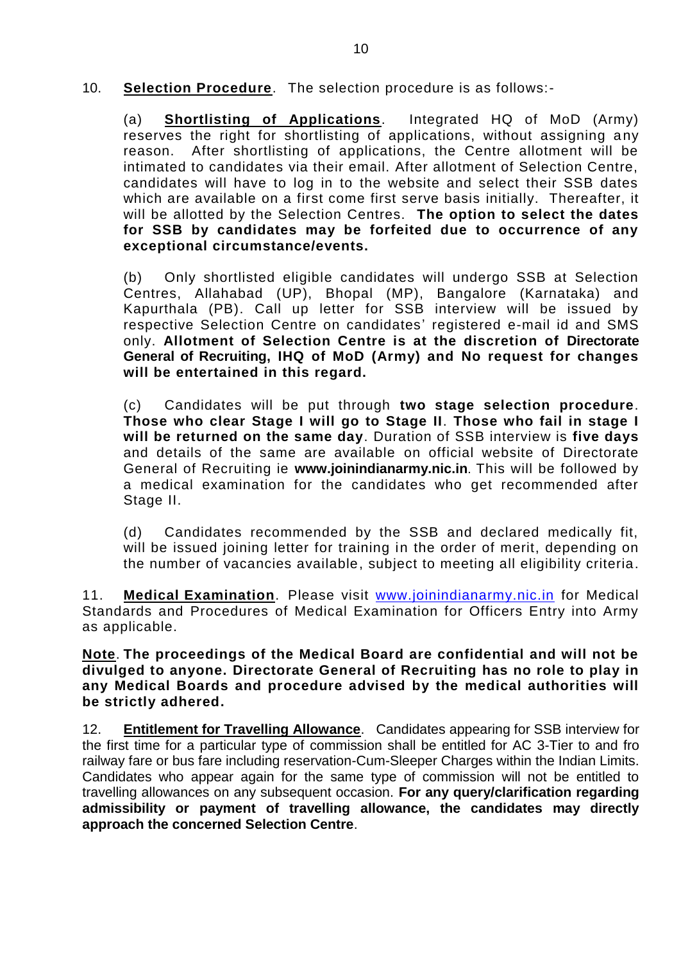10. **Selection Procedure**. The selection procedure is as follows:-

(a) **Shortlisting of Applications**. Integrated HQ of MoD (Army) reserves the right for shortlisting of applications, without assigning a ny reason. After shortlisting of applications, the Centre allotment will be intimated to candidates via their email. After allotment of Selection Centre, candidates will have to log in to the website and select their SSB dates which are available on a first come first serve basis initially. Thereafter, it will be allotted by the Selection Centres. **The option to select the dates for SSB by candidates may be forfeited due to occurrence of any exceptional circumstance/events.** 

(b) Only shortlisted eligible candidates will undergo SSB at Selection Centres, Allahabad (UP), Bhopal (MP), Bangalore (Karnataka) and Kapurthala (PB). Call up letter for SSB interview will be issued by respective Selection Centre on candidates' registered e-mail id and SMS only. **Allotment of Selection Centre is at the discretion of Directorate General of Recruiting, IHQ of MoD (Army) and No request for changes will be entertained in this regard.** 

(c) Candidates will be put through **two stage selection procedure**. **Those who clear Stage I will go to Stage II**. **Those who fail in stage I will be returned on the same day**. Duration of SSB interview is **five days**  and details of the same are available on official website of Directorate General of Recruiting ie **[www.joinindianarmy.nic.in](http://www.joinindianarmy.nic.in/)**. This will be followed by a medical examination for the candidates who get recommended after Stage II.

(d) Candidates recommended by the SSB and declared medically fit, will be issued joining letter for training in the order of merit, depending on the number of vacancies available, subject to meeting all eligibility criteria.

11. **Medical Examination**. Please visit [www.joinindianarmy.nic.in](http://www.joinindianarmy.nic.in/) for Medical Standards and Procedures of Medical Examination for Officers Entry into Army as applicable.

**Note**. **The proceedings of the Medical Board are confidential and will not be divulged to anyone. Directorate General of Recruiting has no role to play in any Medical Boards and procedure advised by the medical authorities will be strictly adhered.**

12. **Entitlement for Travelling Allowance**. Candidates appearing for SSB interview for the first time for a particular type of commission shall be entitled for AC 3-Tier to and fro railway fare or bus fare including reservation-Cum-Sleeper Charges within the Indian Limits. Candidates who appear again for the same type of commission will not be entitled to travelling allowances on any subsequent occasion. **For any query/clarification regarding admissibility or payment of travelling allowance, the candidates may directly approach the concerned Selection Centre**.